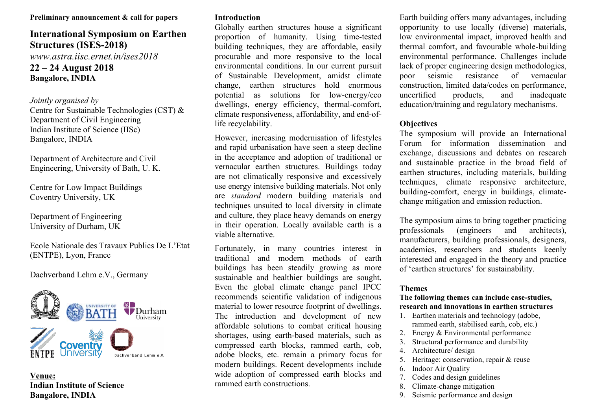#### **Preliminary announcement & call for papers**

# **International Symposium on Earthen Structures (ISES-2018)**

*www.astra.iisc.ernet.in/ises2018*

# **22 – 24 August 2018 Bangalore, INDIA**

### *Jointly organised by*

Centre for Sustainable Technologies (CST) & Department of Civil Engineering Indian Institute of Science (IISc) Bangalore, INDIA

Department of Architecture and Civil Engineering, University of Bath, U. K.

Centre for Low Impact Buildings Coventry University, UK

Department of Engineering University of Durham, UK

Ecole Nationale des Travaux Publics De L'Etat (ENTPE), Lyon, France

### Dachverband Lehm e.V., Germany



**Venue: Indian Institute of Science Bangalore, INDIA**

# **Introduction**

Globally earthen structures house a significant proportion of humanity. Using time-tested building techniques, they are affordable, easily procurable and more responsive to the local environmental conditions. In our current pursuit of Sustainable Development, amidst climate change, earthen structures hold enormous potential as solutions for low-energy/eco dwellings, energy efficiency, thermal-comfort, climate responsiveness, affordability, and end-oflife recyclability.

However, increasing modernisation of lifestyles and rapid urbanisation have seen a steep decline in the acceptance and adoption of traditional or vernacular earthen structures. Buildings today are not climatically responsive and excessively use energy intensive building materials. Not only are *standard* modern building materials and techniques unsuited to local diversity in climate and culture, they place heavy demands on energy in their operation. Locally available earth is a viable alternative.

Fortunately, in many countries interest in traditional and modern methods of earth buildings has been steadily growing as more sustainable and healthier buildings are sought. Even the global climate change panel IPCC recommends scientific validation of indigenous material to lower resource footprint of dwellings. The introduction and development of new affordable solutions to combat critical housing shortages, using earth-based materials, such as compressed earth blocks, rammed earth, cob, adobe blocks, etc. remain a primary focus for modern buildings. Recent developments include wide adoption of compressed earth blocks and rammed earth constructions.

Earth building offers many advantages, including opportunity to use locally (diverse) materials, low environmental impact, improved health and thermal comfort, and favourable whole-building environmental performance. Challenges include lack of proper engineering design methodologies, poor seismic resistance of vernacular construction, limited data/codes on performance, uncertified products, and inadequate education/training and regulatory mechanisms.

# **Objectives**

The symposium will provide an International Forum for information dissemination and exchange, discussions and debates on research and sustainable practice in the broad field of earthen structures, including materials, building techniques, climate responsive architecture, building-comfort, energy in buildings, climatechange mitigation and emission reduction.

The symposium aims to bring together practicing professionals (engineers and architects), manufacturers, building professionals, designers, academics, researchers and students keenly interested and engaged in the theory and practice of 'earthen structures' for sustainability.

### **Themes**

#### **The following themes can include case-studies, research and innovations in earthen structures**

- 1. Earthen materials and technology (adobe, rammed earth, stabilised earth, cob, etc.)
- 2. Energy & Environmental performance
- 3. Structural performance and durability
- 4. Architecture/ design
- 5. Heritage: conservation, repair & reuse
- 6. Indoor Air Quality
- 7. Codes and design guidelines
- 8. Climate-change mitigation
- 9. Seismic performance and design